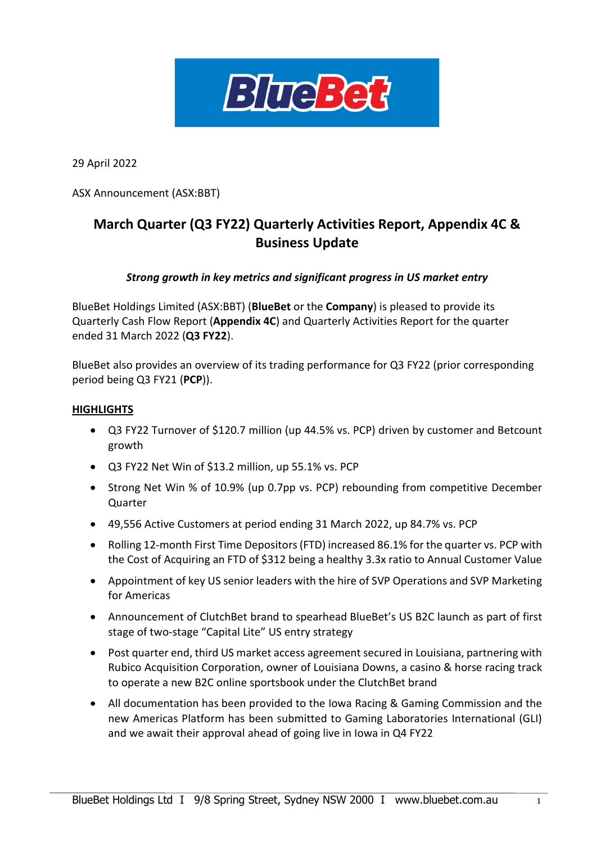

29 April 2022

ASX Announcement (ASX:BBT)

# **March Quarter (Q3 FY22) Quarterly Activities Report, Appendix 4C & Business Update**

## *Strong growth in key metrics and significant progress in US market entry*

BlueBet Holdings Limited (ASX:BBT) (**BlueBet** or the **Company**) is pleased to provide its Quarterly Cash Flow Report (**Appendix 4C**) and Quarterly Activities Report for the quarter ended 31 March 2022 (**Q3 FY22**).

BlueBet also provides an overview of its trading performance for Q3 FY22 (prior corresponding period being Q3 FY21 (**PCP**)).

#### **HIGHLIGHTS**

- Q3 FY22 Turnover of \$120.7 million (up 44.5% vs. PCP) driven by customer and Betcount growth
- Q3 FY22 Net Win of \$13.2 million, up 55.1% vs. PCP
- Strong Net Win % of 10.9% (up 0.7pp vs. PCP) rebounding from competitive December Quarter
- 49,556 Active Customers at period ending 31 March 2022, up 84.7% vs. PCP
- Rolling 12-month First Time Depositors (FTD) increased 86.1% for the quarter vs. PCP with the Cost of Acquiring an FTD of \$312 being a healthy 3.3x ratio to Annual Customer Value
- Appointment of key US senior leaders with the hire of SVP Operations and SVP Marketing for Americas
- Announcement of ClutchBet brand to spearhead BlueBet's US B2C launch as part of first stage of two-stage "Capital Lite" US entry strategy
- Post quarter end, third US market access agreement secured in Louisiana, partnering with Rubico Acquisition Corporation, owner of Louisiana Downs, a casino & horse racing track to operate a new B2C online sportsbook under the ClutchBet brand
- All documentation has been provided to the Iowa Racing & Gaming Commission and the new Americas Platform has been submitted to Gaming Laboratories International (GLI) and we await their approval ahead of going live in Iowa in Q4 FY22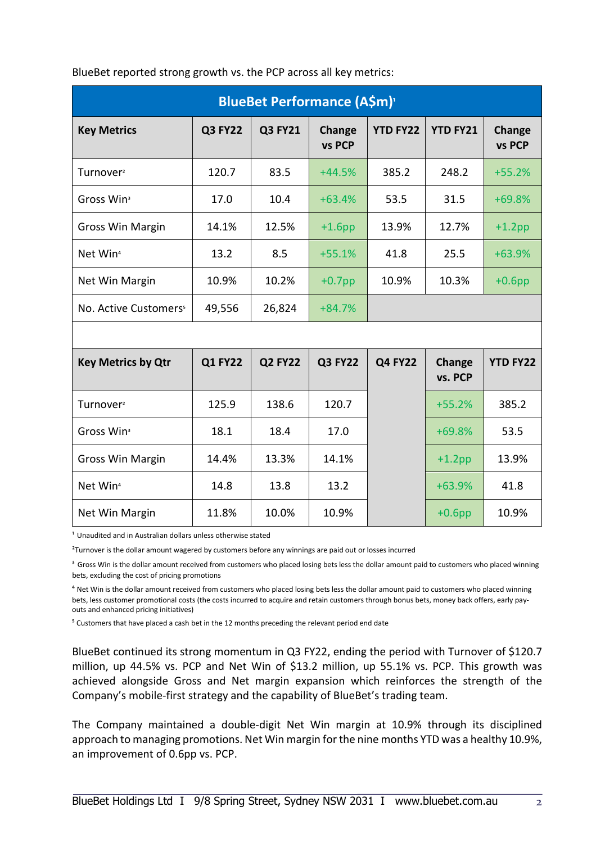| <b>BlueBet Performance (A\$m)</b> <sup>1</sup> |                |                |                  |                 |                   |                  |  |  |
|------------------------------------------------|----------------|----------------|------------------|-----------------|-------------------|------------------|--|--|
| <b>Key Metrics</b>                             | <b>Q3 FY22</b> | <b>Q3 FY21</b> | Change<br>vs PCP | <b>YTD FY22</b> | <b>YTD FY21</b>   | Change<br>vs PCP |  |  |
| Turnover <sup>2</sup>                          | 120.7          | 83.5           | $+44.5%$         | 385.2           | 248.2             | $+55.2%$         |  |  |
| Gross Win <sup>3</sup>                         | 17.0           | 10.4           | $+63.4%$         | 53.5            | 31.5              | $+69.8%$         |  |  |
| <b>Gross Win Margin</b>                        | 14.1%          | 12.5%          | $+1.6$ pp        | 13.9%           | 12.7%             | $+1.2$ pp        |  |  |
| Net Win <sup>4</sup>                           | 13.2           | 8.5            | $+55.1%$         | 41.8            | 25.5              | $+63.9%$         |  |  |
| Net Win Margin                                 | 10.9%          | 10.2%          | $+0.7$ pp        | 10.9%           | 10.3%             | $+0.6$ pp        |  |  |
| No. Active Customers <sup>5</sup>              | 49,556         | 26,824         | $+84.7%$         |                 |                   |                  |  |  |
|                                                |                |                |                  |                 |                   |                  |  |  |
| <b>Key Metrics by Qtr</b>                      | <b>Q1 FY22</b> | <b>Q2 FY22</b> | <b>Q3 FY22</b>   | <b>Q4 FY22</b>  | Change<br>vs. PCP | <b>YTD FY22</b>  |  |  |
| Turnover <sup>2</sup>                          | 125.9          | 138.6          | 120.7            |                 | $+55.2%$          | 385.2            |  |  |
| Gross Win <sup>3</sup>                         | 18.1           | 18.4           | 17.0             |                 | $+69.8%$          | 53.5             |  |  |
| <b>Gross Win Margin</b>                        | 14.4%          | 13.3%          | 14.1%            |                 | $+1.2$ pp         | 13.9%            |  |  |
| Net Win <sup>4</sup>                           | 14.8           | 13.8           | 13.2             |                 | $+63.9%$          | 41.8             |  |  |
| Net Win Margin                                 | 11.8%          | 10.0%          | 10.9%            |                 | $+0.6$ pp         | 10.9%            |  |  |

BlueBet reported strong growth vs. the PCP across all key metrics:

<sup>1</sup> Unaudited and in Australian dollars unless otherwise stated

<sup>2</sup>Turnover is the dollar amount wagered by customers before any winnings are paid out or losses incurred

<sup>3</sup> Gross Win is the dollar amount received from customers who placed losing bets less the dollar amount paid to customers who placed winning bets, excluding the cost of pricing promotions

<sup>4</sup> Net Win is the dollar amount received from customers who placed losing bets less the dollar amount paid to customers who placed winning bets, less customer promotional costs (the costs incurred to acquire and retain customers through bonus bets, money back offers, early payouts and enhanced pricing initiatives)

<sup>5</sup> Customers that have placed a cash bet in the 12 months preceding the relevant period end date

BlueBet continued its strong momentum in Q3 FY22, ending the period with Turnover of \$120.7 million, up 44.5% vs. PCP and Net Win of \$13.2 million, up 55.1% vs. PCP. This growth was achieved alongside Gross and Net margin expansion which reinforces the strength of the Company's mobile-first strategy and the capability of BlueBet's trading team.

The Company maintained a double-digit Net Win margin at 10.9% through its disciplined approach to managing promotions. Net Win margin for the nine months YTD was a healthy 10.9%, an improvement of 0.6pp vs. PCP.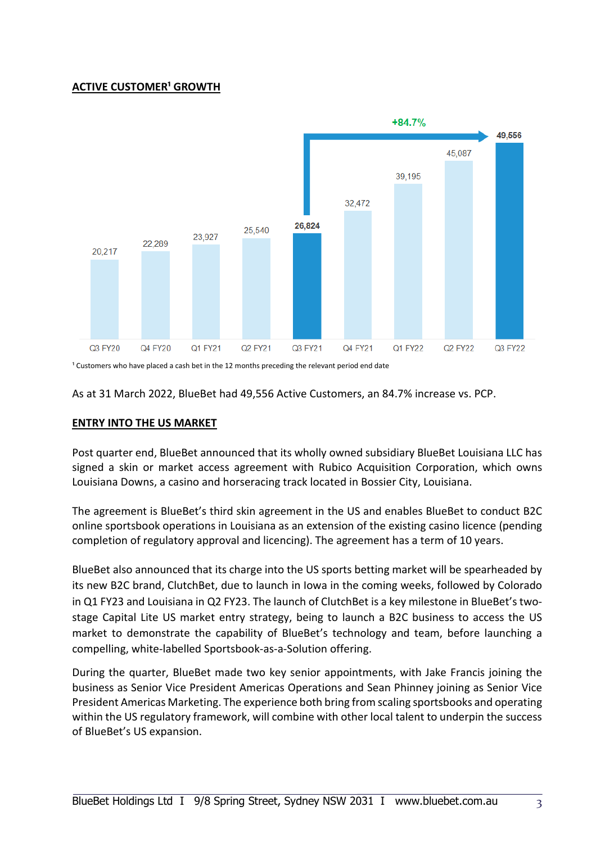## **ACTIVE CUSTOMER<sup>1</sup> GROWTH**



<sup>1</sup> Customers who have placed a cash bet in the 12 months preceding the relevant period end date

As at 31 March 2022, BlueBet had 49,556 Active Customers, an 84.7% increase vs. PCP.

#### **ENTRY INTO THE US MARKET**

Post quarter end, BlueBet announced that its wholly owned subsidiary BlueBet Louisiana LLC has signed a skin or market access agreement with Rubico Acquisition Corporation, which owns Louisiana Downs, a casino and horseracing track located in Bossier City, Louisiana.

The agreement is BlueBet's third skin agreement in the US and enables BlueBet to conduct B2C online sportsbook operations in Louisiana as an extension of the existing casino licence (pending completion of regulatory approval and licencing). The agreement has a term of 10 years.

BlueBet also announced that its charge into the US sports betting market will be spearheaded by its new B2C brand, ClutchBet, due to launch in Iowa in the coming weeks, followed by Colorado in Q1 FY23 and Louisiana in Q2 FY23. The launch of ClutchBet is a key milestone in BlueBet's twostage Capital Lite US market entry strategy, being to launch a B2C business to access the US market to demonstrate the capability of BlueBet's technology and team, before launching a compelling, white-labelled Sportsbook-as-a-Solution offering.

During the quarter, BlueBet made two key senior appointments, with Jake Francis joining the business as Senior Vice President Americas Operations and Sean Phinney joining as Senior Vice President Americas Marketing. The experience both bring from scaling sportsbooks and operating within the US regulatory framework, will combine with other local talent to underpin the success of BlueBet's US expansion.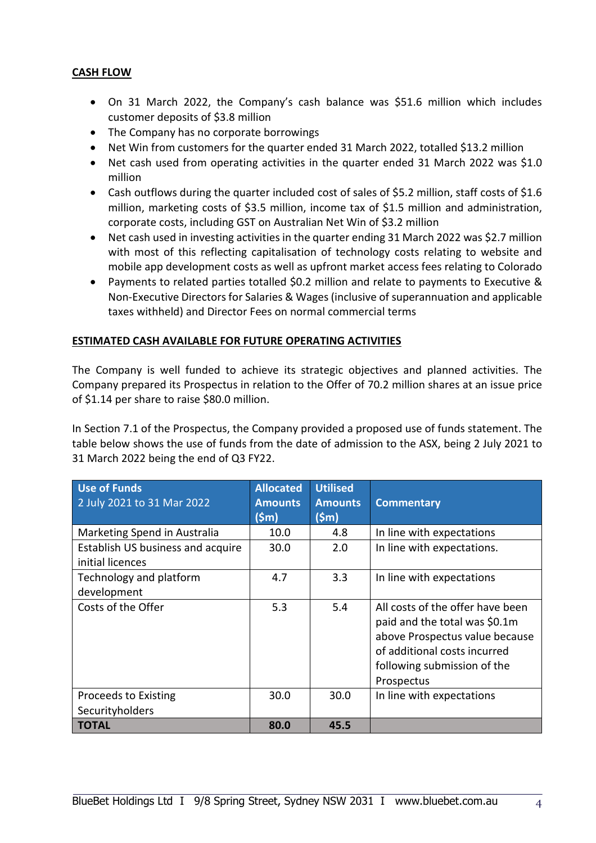## **CASH FLOW**

- On 31 March 2022, the Company's cash balance was \$51.6 million which includes customer deposits of \$3.8 million
- The Company has no corporate borrowings
- Net Win from customers for the quarter ended 31 March 2022, totalled \$13.2 million
- Net cash used from operating activities in the quarter ended 31 March 2022 was \$1.0 million
- Cash outflows during the quarter included cost of sales of \$5.2 million, staff costs of \$1.6 million, marketing costs of \$3.5 million, income tax of \$1.5 million and administration, corporate costs, including GST on Australian Net Win of \$3.2 million
- Net cash used in investing activities in the quarter ending 31 March 2022 was \$2.7 million with most of this reflecting capitalisation of technology costs relating to website and mobile app development costs as well as upfront market access fees relating to Colorado
- Payments to related parties totalled \$0.2 million and relate to payments to Executive & Non-Executive Directors for Salaries & Wages (inclusive of superannuation and applicable taxes withheld) and Director Fees on normal commercial terms

## **ESTIMATED CASH AVAILABLE FOR FUTURE OPERATING ACTIVITIES**

The Company is well funded to achieve its strategic objectives and planned activities. The Company prepared its Prospectus in relation to the Offer of 70.2 million shares at an issue price of \$1.14 per share to raise \$80.0 million.

In Section 7.1 of the Prospectus, the Company provided a proposed use of funds statement. The table below shows the use of funds from the date of admission to the ASX, being 2 July 2021 to 31 March 2022 being the end of Q3 FY22.

| <b>Use of Funds</b><br>2 July 2021 to 31 Mar 2022     | <b>Allocated</b><br><b>Amounts</b><br>$(\mathsf{Sm})$ | <b>Utilised</b><br><b>Amounts</b><br>(Sm) | <b>Commentary</b>                                                                                                                                                                |
|-------------------------------------------------------|-------------------------------------------------------|-------------------------------------------|----------------------------------------------------------------------------------------------------------------------------------------------------------------------------------|
| Marketing Spend in Australia                          | 10.0                                                  | 4.8                                       | In line with expectations                                                                                                                                                        |
| Establish US business and acquire<br>initial licences | 30.0                                                  | 2.0                                       | In line with expectations.                                                                                                                                                       |
| Technology and platform<br>development                | 4.7                                                   | 3.3                                       | In line with expectations                                                                                                                                                        |
| Costs of the Offer                                    | 5.3                                                   | 5.4                                       | All costs of the offer have been<br>paid and the total was \$0.1m<br>above Prospectus value because<br>of additional costs incurred<br>following submission of the<br>Prospectus |
| Proceeds to Existing<br>Securityholders               | 30.0                                                  | 30.0                                      | In line with expectations                                                                                                                                                        |
| <b>TOTAL</b>                                          | 80.0                                                  | 45.5                                      |                                                                                                                                                                                  |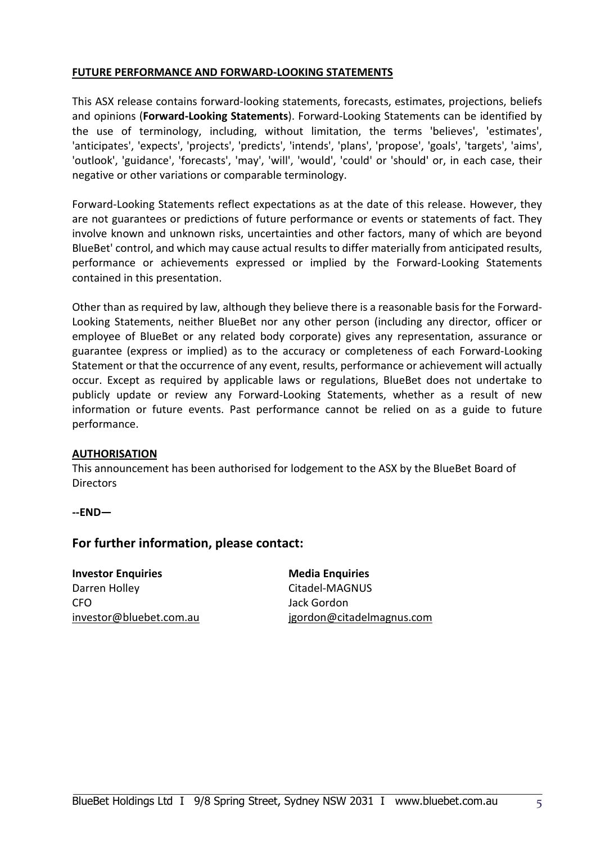#### **FUTURE PERFORMANCE AND FORWARD-LOOKING STATEMENTS**

This ASX release contains forward-looking statements, forecasts, estimates, projections, beliefs and opinions (**Forward-Looking Statements**). Forward-Looking Statements can be identified by the use of terminology, including, without limitation, the terms 'believes', 'estimates', 'anticipates', 'expects', 'projects', 'predicts', 'intends', 'plans', 'propose', 'goals', 'targets', 'aims', 'outlook', 'guidance', 'forecasts', 'may', 'will', 'would', 'could' or 'should' or, in each case, their negative or other variations or comparable terminology.

Forward-Looking Statements reflect expectations as at the date of this release. However, they are not guarantees or predictions of future performance or events or statements of fact. They involve known and unknown risks, uncertainties and other factors, many of which are beyond BlueBet' control, and which may cause actual results to differ materially from anticipated results, performance or achievements expressed or implied by the Forward-Looking Statements contained in this presentation.

Other than as required by law, although they believe there is a reasonable basis for the Forward-Looking Statements, neither BlueBet nor any other person (including any director, officer or employee of BlueBet or any related body corporate) gives any representation, assurance or guarantee (express or implied) as to the accuracy or completeness of each Forward-Looking Statement or that the occurrence of any event, results, performance or achievement will actually occur. Except as required by applicable laws or regulations, BlueBet does not undertake to publicly update or review any Forward-Looking Statements, whether as a result of new information or future events. Past performance cannot be relied on as a guide to future performance.

#### **AUTHORISATION**

This announcement has been authorised for lodgement to the ASX by the BlueBet Board of **Directors** 

**--END—** 

## **For further information, please contact:**

**Investor Enquiries Media Enquiries** Darren Holley **Citadel-MAGNUS** CFO Jack Gordon

[investor@bluebet.com.au](mailto:Billr@bluebet.com.au) jgordon@citadelmagnus.com